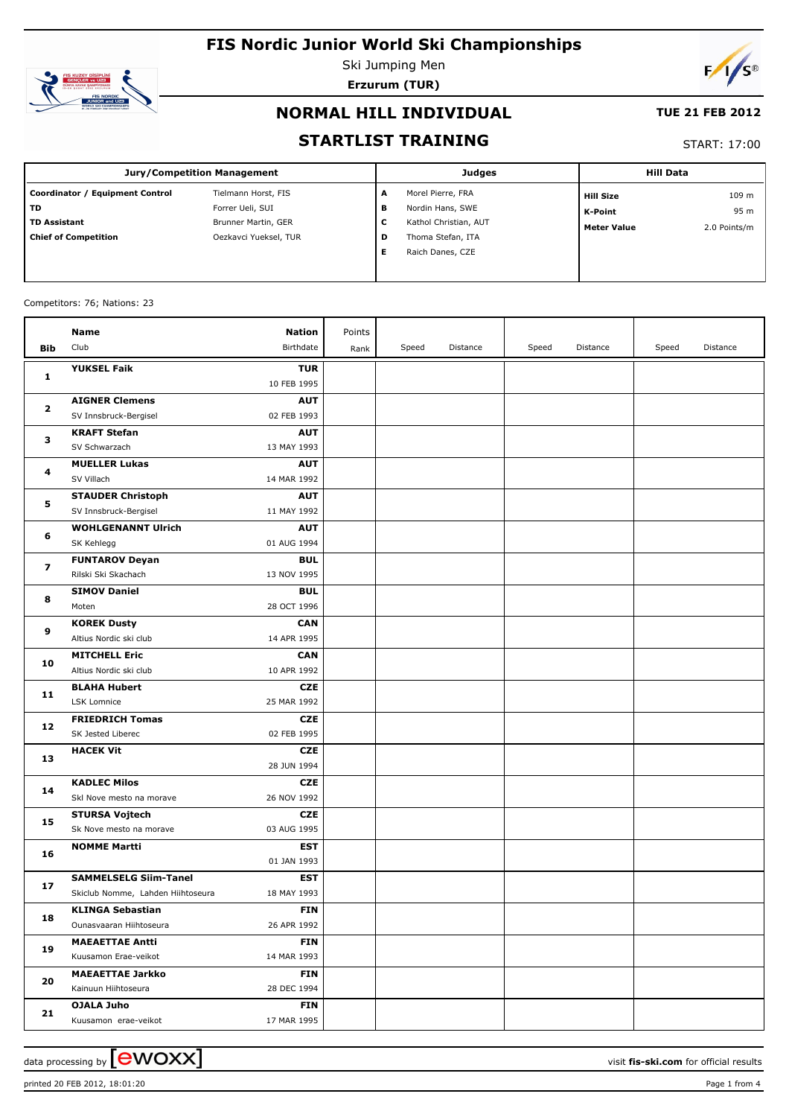

Ski Jumping Men **Erzurum (TUR)**



### **NORMAL HILL INDIVIDUAL**

#### **TUE 21 FEB 2012**

### **STARTLIST TRAINING**

#### START: 17:00

| Jury/Competition Management     |                       |   | <b>Judges</b>         | <b>Hill Data</b>   |              |  |
|---------------------------------|-----------------------|---|-----------------------|--------------------|--------------|--|
| Coordinator / Equipment Control | Tielmann Horst, FIS   | A | Morel Pierre, FRA     | <b>Hill Size</b>   | 109 m        |  |
| l TD.                           | Forrer Ueli, SUI      | в | Nordin Hans, SWE      | K-Point            | 95 m         |  |
| l TD Assistant                  | Brunner Martin, GER   | С | Kathol Christian, AUT | <b>Meter Value</b> | 2.0 Points/m |  |
| Chief of Competition            | Oezkavci Yueksel, TUR | D | Thoma Stefan, ITA     |                    |              |  |
|                                 |                       | Е | Raich Danes, CZE      |                    |              |  |
|                                 |                       |   |                       |                    |              |  |

#### Competitors: 76; Nations: 23

|              | Name                                             | Nation                    | Points |       |          |       |          |       |          |
|--------------|--------------------------------------------------|---------------------------|--------|-------|----------|-------|----------|-------|----------|
| <b>Bib</b>   | Club                                             | Birthdate                 | Rank   | Speed | Distance | Speed | Distance | Speed | Distance |
|              | <b>YUKSEL Faik</b>                               | <b>TUR</b>                |        |       |          |       |          |       |          |
| 1            |                                                  | 10 FEB 1995               |        |       |          |       |          |       |          |
|              | <b>AIGNER Clemens</b>                            | <b>AUT</b>                |        |       |          |       |          |       |          |
| $\mathbf{z}$ | SV Innsbruck-Bergisel                            | 02 FEB 1993               |        |       |          |       |          |       |          |
|              | <b>KRAFT Stefan</b>                              | <b>AUT</b>                |        |       |          |       |          |       |          |
| з            | SV Schwarzach                                    | 13 MAY 1993               |        |       |          |       |          |       |          |
|              | <b>MUELLER Lukas</b>                             | <b>AUT</b>                |        |       |          |       |          |       |          |
| 4            | SV Villach                                       | 14 MAR 1992               |        |       |          |       |          |       |          |
|              | <b>STAUDER Christoph</b>                         | <b>AUT</b>                |        |       |          |       |          |       |          |
| 5            | SV Innsbruck-Bergisel                            | 11 MAY 1992               |        |       |          |       |          |       |          |
|              | <b>WOHLGENANNT Ulrich</b>                        | <b>AUT</b>                |        |       |          |       |          |       |          |
| 6            | SK Kehlegg                                       | 01 AUG 1994               |        |       |          |       |          |       |          |
| 7            | <b>FUNTAROV Deyan</b>                            | <b>BUL</b>                |        |       |          |       |          |       |          |
|              | Rilski Ski Skachach                              | 13 NOV 1995               |        |       |          |       |          |       |          |
| 8            | <b>SIMOV Daniel</b>                              | <b>BUL</b>                |        |       |          |       |          |       |          |
|              | Moten                                            | 28 OCT 1996               |        |       |          |       |          |       |          |
| 9            | <b>KOREK Dusty</b>                               | <b>CAN</b>                |        |       |          |       |          |       |          |
|              | Altius Nordic ski club                           | 14 APR 1995               |        |       |          |       |          |       |          |
| 10           | <b>MITCHELL Eric</b>                             | <b>CAN</b>                |        |       |          |       |          |       |          |
|              | Altius Nordic ski club                           | 10 APR 1992               |        |       |          |       |          |       |          |
| 11           | <b>BLAHA Hubert</b>                              | <b>CZE</b>                |        |       |          |       |          |       |          |
|              | LSK Lomnice                                      | 25 MAR 1992               |        |       |          |       |          |       |          |
| 12           | <b>FRIEDRICH Tomas</b>                           | <b>CZE</b>                |        |       |          |       |          |       |          |
|              | SK Jested Liberec                                | 02 FEB 1995               |        |       |          |       |          |       |          |
| 13           | <b>HACEK Vit</b>                                 | <b>CZE</b>                |        |       |          |       |          |       |          |
|              |                                                  | 28 JUN 1994               |        |       |          |       |          |       |          |
| 14           | <b>KADLEC Milos</b>                              | <b>CZE</b>                |        |       |          |       |          |       |          |
|              | Skl Nove mesto na morave                         | 26 NOV 1992               |        |       |          |       |          |       |          |
| 15           | <b>STURSA Vojtech</b><br>Sk Nove mesto na morave | <b>CZE</b>                |        |       |          |       |          |       |          |
|              | <b>NOMME Martti</b>                              | 03 AUG 1995<br><b>EST</b> |        |       |          |       |          |       |          |
| 16           |                                                  | 01 JAN 1993               |        |       |          |       |          |       |          |
|              | <b>SAMMELSELG Siim-Tanel</b>                     | <b>EST</b>                |        |       |          |       |          |       |          |
| 17           | Skiclub Nomme, Lahden Hiihtoseura                | 18 MAY 1993               |        |       |          |       |          |       |          |
|              | KLINGA Sebastian                                 | <b>FIN</b>                |        |       |          |       |          |       |          |
| 18           | Ounasvaaran Hiihtoseura                          | 26 APR 1992               |        |       |          |       |          |       |          |
|              | <b>MAEAETTAE Antti</b>                           | <b>FIN</b>                |        |       |          |       |          |       |          |
| 19           | Kuusamon Erae-veikot                             | 14 MAR 1993               |        |       |          |       |          |       |          |
|              | <b>MAEAETTAE Jarkko</b>                          | <b>FIN</b>                |        |       |          |       |          |       |          |
| 20           | Kainuun Hiihtoseura                              | 28 DEC 1994               |        |       |          |       |          |       |          |
|              | OJALA Juho                                       | <b>FIN</b>                |        |       |          |       |          |       |          |
| 21           | Kuusamon erae-veikot                             | 17 MAR 1995               |        |       |          |       |          |       |          |

data processing by **CWOXX**  $\blacksquare$  and  $\blacksquare$  and  $\blacksquare$  and  $\blacksquare$  and  $\blacksquare$  and  $\blacksquare$  and  $\blacksquare$  and  $\blacksquare$  and  $\blacksquare$  and  $\blacksquare$  and  $\blacksquare$  and  $\blacksquare$  and  $\blacksquare$  and  $\blacksquare$  and  $\blacksquare$  and  $\blacksquare$  and  $\blacksquare$  and  $\blacksquare$  a

printed 20 FEB 2012, 18:01:20 Page 1 from 4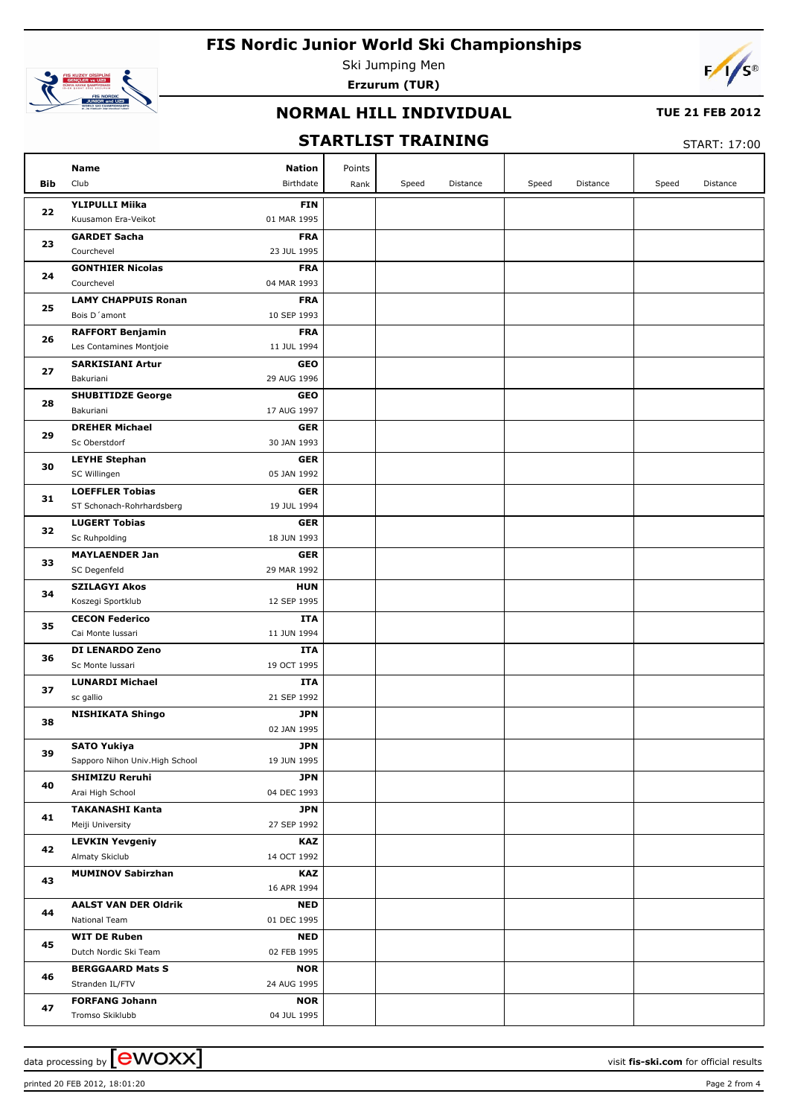

Ski Jumping Men **Erzurum (TUR)**



### **NORMAL HILL INDIVIDUAL**

#### **TUE 21 FEB 2012**

## **STARTLIST TRAINING**

START: 17:00

| <b>Bib</b> | Name<br>Club                                       | <b>Nation</b><br>Birthdate | Points | Speed | Distance | Speed | Distance | Speed | Distance |
|------------|----------------------------------------------------|----------------------------|--------|-------|----------|-------|----------|-------|----------|
|            |                                                    |                            | Rank   |       |          |       |          |       |          |
| 22         | <b>YLIPULLI Miika</b><br>Kuusamon Era-Veikot       | <b>FIN</b><br>01 MAR 1995  |        |       |          |       |          |       |          |
| 23         | <b>GARDET Sacha</b><br>Courchevel                  | <b>FRA</b><br>23 JUL 1995  |        |       |          |       |          |       |          |
| 24         | <b>GONTHIER Nicolas</b>                            | <b>FRA</b>                 |        |       |          |       |          |       |          |
|            | Courchevel                                         | 04 MAR 1993                |        |       |          |       |          |       |          |
| 25         | <b>LAMY CHAPPUIS Ronan</b><br>Bois D'amont         | <b>FRA</b><br>10 SEP 1993  |        |       |          |       |          |       |          |
| 26         | <b>RAFFORT Benjamin</b><br>Les Contamines Montjoie | <b>FRA</b><br>11 JUL 1994  |        |       |          |       |          |       |          |
|            | <b>SARKISIANI Artur</b>                            | <b>GEO</b>                 |        |       |          |       |          |       |          |
| 27         | Bakuriani                                          | 29 AUG 1996                |        |       |          |       |          |       |          |
|            | <b>SHUBITIDZE George</b>                           | <b>GEO</b>                 |        |       |          |       |          |       |          |
| 28         | Bakuriani                                          | 17 AUG 1997                |        |       |          |       |          |       |          |
|            | <b>DREHER Michael</b>                              | <b>GER</b>                 |        |       |          |       |          |       |          |
| 29         | Sc Oberstdorf                                      | 30 JAN 1993                |        |       |          |       |          |       |          |
| 30         | <b>LEYHE Stephan</b>                               | <b>GER</b>                 |        |       |          |       |          |       |          |
|            | SC Willingen                                       | 05 JAN 1992                |        |       |          |       |          |       |          |
| 31         | <b>LOEFFLER Tobias</b>                             | <b>GER</b>                 |        |       |          |       |          |       |          |
|            | ST Schonach-Rohrhardsberg                          | 19 JUL 1994                |        |       |          |       |          |       |          |
| 32         | <b>LUGERT Tobias</b>                               | <b>GER</b>                 |        |       |          |       |          |       |          |
|            | Sc Ruhpolding                                      | 18 JUN 1993                |        |       |          |       |          |       |          |
| 33         | <b>MAYLAENDER Jan</b><br>SC Degenfeld              | <b>GER</b><br>29 MAR 1992  |        |       |          |       |          |       |          |
|            | <b>SZILAGYI Akos</b>                               | <b>HUN</b>                 |        |       |          |       |          |       |          |
| 34         | Koszegi Sportklub                                  | 12 SEP 1995                |        |       |          |       |          |       |          |
|            | <b>CECON Federico</b>                              | ITA                        |        |       |          |       |          |       |          |
| 35         | Cai Monte Iussari                                  | 11 JUN 1994                |        |       |          |       |          |       |          |
|            | <b>DI LENARDO Zeno</b>                             | <b>ITA</b>                 |        |       |          |       |          |       |          |
| 36         | Sc Monte Iussari                                   | 19 OCT 1995                |        |       |          |       |          |       |          |
| 37         | <b>LUNARDI Michael</b>                             | ITA                        |        |       |          |       |          |       |          |
|            | sc gallio                                          | 21 SEP 1992                |        |       |          |       |          |       |          |
| 38         | <b>NISHIKATA Shingo</b>                            | <b>JPN</b><br>02 JAN 1995  |        |       |          |       |          |       |          |
|            | <b>SATO Yukiya</b>                                 | <b>JPN</b>                 |        |       |          |       |          |       |          |
| 39         | Sapporo Nihon Univ. High School                    | 19 JUN 1995                |        |       |          |       |          |       |          |
|            | <b>SHIMIZU Reruhi</b>                              | <b>JPN</b>                 |        |       |          |       |          |       |          |
| 40         | Arai High School                                   | 04 DEC 1993                |        |       |          |       |          |       |          |
| 41         | <b>TAKANASHI Kanta</b>                             | <b>JPN</b>                 |        |       |          |       |          |       |          |
|            | Meiji University                                   | 27 SEP 1992                |        |       |          |       |          |       |          |
| 42         | <b>LEVKIN Yevgeniy</b>                             | <b>KAZ</b>                 |        |       |          |       |          |       |          |
|            | Almaty Skiclub                                     | 14 OCT 1992                |        |       |          |       |          |       |          |
| 43         | <b>MUMINOV Sabirzhan</b>                           | <b>KAZ</b><br>16 APR 1994  |        |       |          |       |          |       |          |
| 44         | <b>AALST VAN DER Oldrik</b><br>National Team       | <b>NED</b><br>01 DEC 1995  |        |       |          |       |          |       |          |
|            | <b>WIT DE Ruben</b>                                | <b>NED</b>                 |        |       |          |       |          |       |          |
| 45         | Dutch Nordic Ski Team                              | 02 FEB 1995                |        |       |          |       |          |       |          |
|            | <b>BERGGAARD Mats S</b>                            | <b>NOR</b>                 |        |       |          |       |          |       |          |
| 46         | Stranden IL/FTV                                    | 24 AUG 1995                |        |       |          |       |          |       |          |
|            | <b>FORFANG Johann</b>                              | <b>NOR</b>                 |        |       |          |       |          |       |          |
| 47         | Tromso Skiklubb                                    | 04 JUL 1995                |        |       |          |       |          |       |          |

data processing by **COVOXX** and the set of the set of the visit **fis-ski.com** for official results

printed 20 FEB 2012, 18:01:20 Page 2 from 4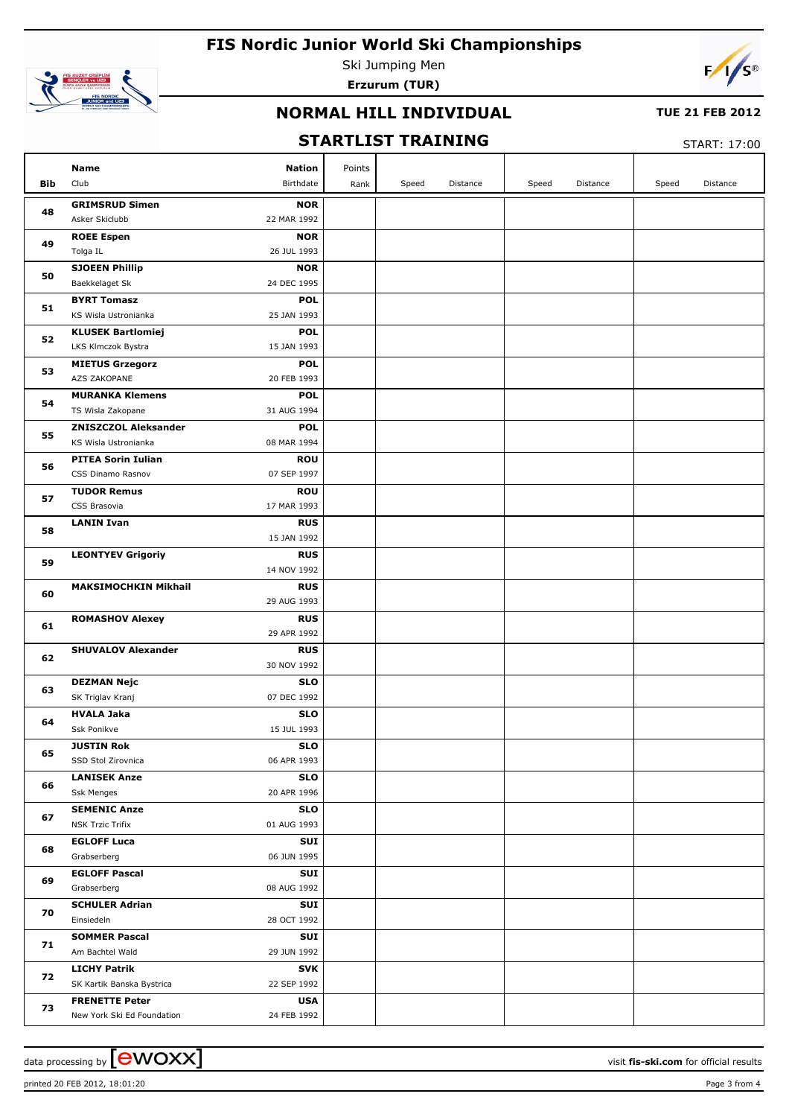

Ski Jumping Men **Erzurum (TUR)**



### **NORMAL HILL INDIVIDUAL**

#### **TUE 21 FEB 2012**

## **STARTLIST TRAINING**

START: 17:00

|            | Name<br>Nation                                                           | Points |       |          |       |          |       |          |
|------------|--------------------------------------------------------------------------|--------|-------|----------|-------|----------|-------|----------|
| <b>Bib</b> | Club<br>Birthdate                                                        | Rank   | Speed | Distance | Speed | Distance | Speed | Distance |
|            | <b>GRIMSRUD Simen</b><br><b>NOR</b>                                      |        |       |          |       |          |       |          |
| 48         | Asker Skiclubb<br>22 MAR 1992                                            |        |       |          |       |          |       |          |
|            | <b>ROEE Espen</b><br><b>NOR</b>                                          |        |       |          |       |          |       |          |
| 49         | 26 JUL 1993<br>Tolga IL                                                  |        |       |          |       |          |       |          |
| 50         | <b>SJOEEN Phillip</b><br><b>NOR</b>                                      |        |       |          |       |          |       |          |
|            | 24 DEC 1995<br>Baekkelaget Sk                                            |        |       |          |       |          |       |          |
| 51         | <b>BYRT Tomasz</b><br><b>POL</b>                                         |        |       |          |       |          |       |          |
|            | 25 JAN 1993<br>KS Wisla Ustronianka                                      |        |       |          |       |          |       |          |
| 52         | <b>KLUSEK Bartlomiej</b><br><b>POL</b>                                   |        |       |          |       |          |       |          |
|            | LKS Klmczok Bystra<br>15 JAN 1993                                        |        |       |          |       |          |       |          |
| 53         | <b>MIETUS Grzegorz</b><br><b>POL</b>                                     |        |       |          |       |          |       |          |
|            | AZS ZAKOPANE<br>20 FEB 1993                                              |        |       |          |       |          |       |          |
| 54         | <b>MURANKA Klemens</b><br><b>POL</b><br>TS Wisla Zakopane<br>31 AUG 1994 |        |       |          |       |          |       |          |
|            | <b>ZNISZCZOL Aleksander</b><br><b>POL</b>                                |        |       |          |       |          |       |          |
| 55         | 08 MAR 1994<br>KS Wisla Ustronianka                                      |        |       |          |       |          |       |          |
|            | <b>PITEA Sorin Iulian</b><br><b>ROU</b>                                  |        |       |          |       |          |       |          |
| 56         | 07 SEP 1997<br>CSS Dinamo Rasnov                                         |        |       |          |       |          |       |          |
|            | <b>TUDOR Remus</b><br><b>ROU</b>                                         |        |       |          |       |          |       |          |
| 57         | CSS Brasovia<br>17 MAR 1993                                              |        |       |          |       |          |       |          |
|            | <b>LANIN Ivan</b><br><b>RUS</b>                                          |        |       |          |       |          |       |          |
| 58         | 15 JAN 1992                                                              |        |       |          |       |          |       |          |
| 59         | <b>LEONTYEV Grigoriy</b><br><b>RUS</b>                                   |        |       |          |       |          |       |          |
|            | 14 NOV 1992                                                              |        |       |          |       |          |       |          |
| 60         | <b>MAKSIMOCHKIN Mikhail</b><br><b>RUS</b>                                |        |       |          |       |          |       |          |
|            | 29 AUG 1993                                                              |        |       |          |       |          |       |          |
| 61         | <b>ROMASHOV Alexey</b><br><b>RUS</b>                                     |        |       |          |       |          |       |          |
|            | 29 APR 1992                                                              |        |       |          |       |          |       |          |
| 62         | <b>SHUVALOV Alexander</b><br><b>RUS</b>                                  |        |       |          |       |          |       |          |
|            | 30 NOV 1992                                                              |        |       |          |       |          |       |          |
| 63         | <b>DEZMAN Nejc</b><br><b>SLO</b><br>07 DEC 1992                          |        |       |          |       |          |       |          |
|            | SK Triglav Kranj<br><b>SLO</b><br><b>HVALA Jaka</b>                      |        |       |          |       |          |       |          |
| 64         | 15 JUL 1993<br>Ssk Ponikve                                               |        |       |          |       |          |       |          |
|            | <b>JUSTIN Rok</b><br>SLO                                                 |        |       |          |       |          |       |          |
| 65         | 06 APR 1993<br>SSD Stol Zirovnica                                        |        |       |          |       |          |       |          |
|            | <b>LANISEK Anze</b><br><b>SLO</b>                                        |        |       |          |       |          |       |          |
| 66         | 20 APR 1996<br>Ssk Menges                                                |        |       |          |       |          |       |          |
|            | <b>SEMENIC Anze</b><br><b>SLO</b>                                        |        |       |          |       |          |       |          |
| 67         | <b>NSK Trzic Trifix</b><br>01 AUG 1993                                   |        |       |          |       |          |       |          |
| 68         | <b>EGLOFF Luca</b><br>SUI                                                |        |       |          |       |          |       |          |
|            | 06 JUN 1995<br>Grabserberg                                               |        |       |          |       |          |       |          |
| 69         | <b>EGLOFF Pascal</b><br>SUI                                              |        |       |          |       |          |       |          |
|            | 08 AUG 1992<br>Grabserberg                                               |        |       |          |       |          |       |          |
| 70         | <b>SCHULER Adrian</b><br>SUI                                             |        |       |          |       |          |       |          |
|            | 28 OCT 1992<br>Einsiedeln                                                |        |       |          |       |          |       |          |
| 71         | <b>SOMMER Pascal</b><br>SUI                                              |        |       |          |       |          |       |          |
|            | 29 JUN 1992<br>Am Bachtel Wald                                           |        |       |          |       |          |       |          |
| 72         | <b>LICHY Patrik</b><br>SVK<br>SK Kartik Banska Bystrica<br>22 SEP 1992   |        |       |          |       |          |       |          |
|            | <b>FRENETTE Peter</b><br><b>USA</b>                                      |        |       |          |       |          |       |          |
| 73         | 24 FEB 1992<br>New York Ski Ed Foundation                                |        |       |          |       |          |       |          |